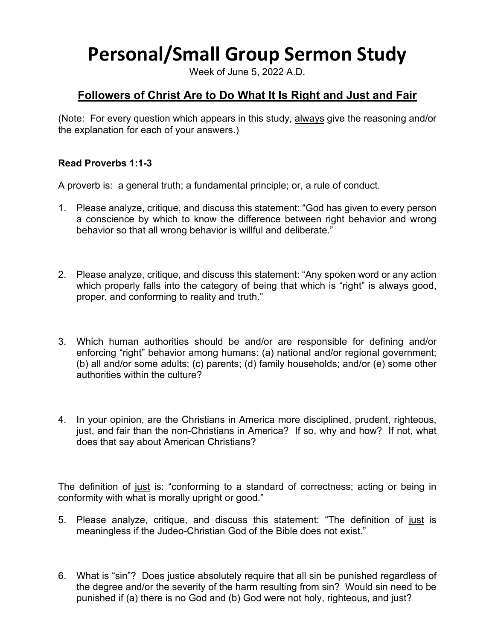## **Personal/Small Group Sermon Study**

Week of June 5, 2022 A.D.

## **Followers of Christ Are to Do What It Is Right and Just and Fair**

(Note: For every question which appears in this study, always give the reasoning and/or the explanation for each of your answers.)

## **Read Proverbs 1:1-3**

A proverb is: a general truth; a fundamental principle; or, a rule of conduct.

- 1. Please analyze, critique, and discuss this statement: "God has given to every person a conscience by which to know the difference between right behavior and wrong behavior so that all wrong behavior is willful and deliberate."
- 2. Please analyze, critique, and discuss this statement: "Any spoken word or any action which properly falls into the category of being that which is "right" is always good, proper, and conforming to reality and truth."
- 3. Which human authorities should be and/or are responsible for defining and/or enforcing "right" behavior among humans: (a) national and/or regional government; (b) all and/or some adults; (c) parents; (d) family households; and/or (e) some other authorities within the culture?
- 4. In your opinion, are the Christians in America more disciplined, prudent, righteous, just, and fair than the non-Christians in America? If so, why and how? If not, what does that say about American Christians?

The definition of just is: "conforming to a standard of correctness; acting or being in conformity with what is morally upright or good."

- 5. Please analyze, critique, and discuss this statement: "The definition of just is meaningless if the Judeo-Christian God of the Bible does not exist."
- 6. What is "sin"? Does justice absolutely require that all sin be punished regardless of the degree and/or the severity of the harm resulting from sin? Would sin need to be punished if (a) there is no God and (b) God were not holy, righteous, and just?